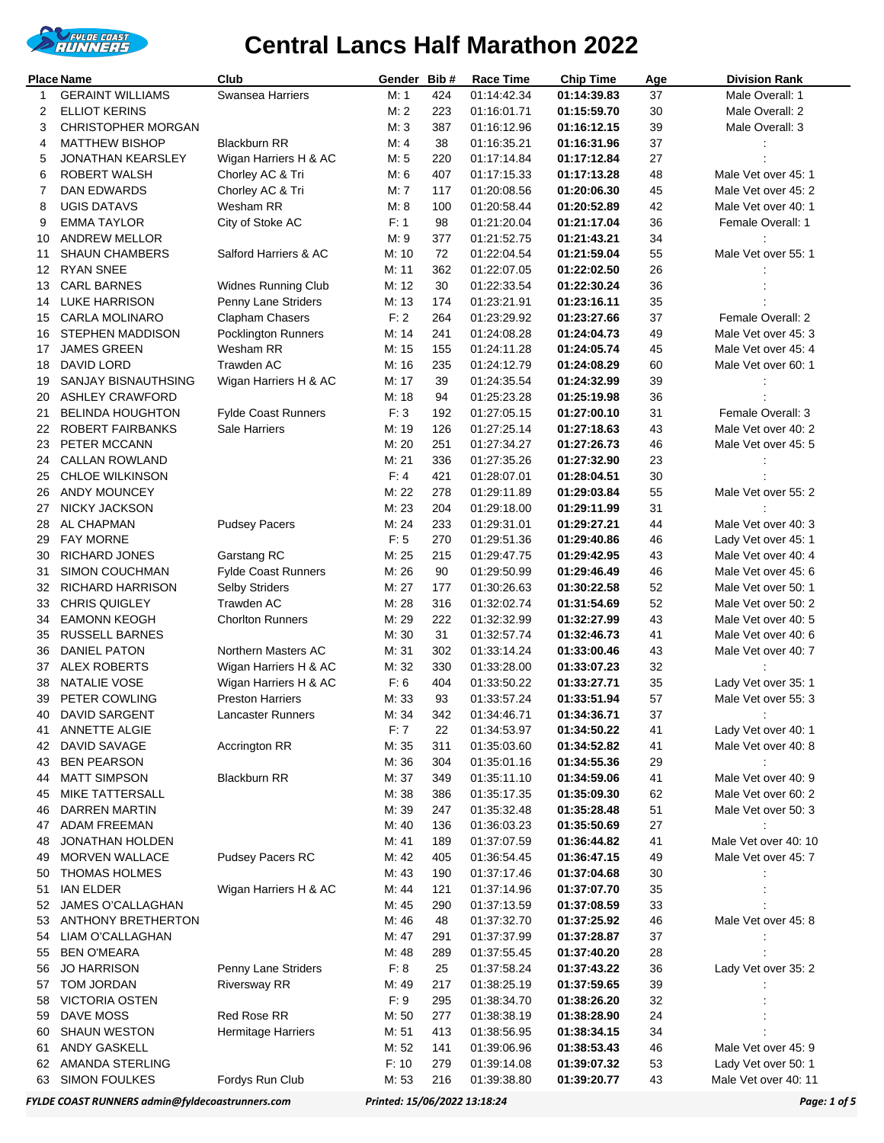

|          | Place Name                               | Club                                | Gender         | Bib#      | <b>Race Time</b>           | <b>Chip Time</b>           | Age      | <b>Division Rank</b>                       |
|----------|------------------------------------------|-------------------------------------|----------------|-----------|----------------------------|----------------------------|----------|--------------------------------------------|
| 1        | <b>GERAINT WILLIAMS</b>                  | Swansea Harriers                    | M: 1           | 424       | 01:14:42.34                | 01:14:39.83                | 37       | Male Overall: 1                            |
| 2        | <b>ELLIOT KERINS</b>                     |                                     | M: 2           | 223       | 01:16:01.71                | 01:15:59.70                | 30       | Male Overall: 2                            |
| 3        | <b>CHRISTOPHER MORGAN</b>                |                                     | M: 3           | 387       | 01:16:12.96                | 01:16:12.15                | 39       | Male Overall: 3                            |
| 4        | <b>MATTHEW BISHOP</b>                    | <b>Blackburn RR</b>                 | M: 4           | 38        | 01:16:35.21                | 01:16:31.96                | 37       |                                            |
| 5        | <b>JONATHAN KEARSLEY</b>                 | Wigan Harriers H & AC               | M: 5           | 220       | 01:17:14.84                | 01:17:12.84                | 27       |                                            |
| 6        | ROBERT WALSH                             | Chorley AC & Tri                    | M: 6           | 407       | 01:17:15.33                | 01:17:13.28                | 48       | Male Vet over 45: 1                        |
| 7        | DAN EDWARDS                              | Chorley AC & Tri                    | M: 7           | 117       | 01:20:08.56                | 01:20:06.30                | 45       | Male Vet over 45: 2                        |
| 8        | UGIS DATAVS                              | Wesham RR                           | M: 8           | 100       | 01:20:58.44                | 01:20:52.89                | 42       | Male Vet over 40: 1                        |
| 9        | <b>EMMA TAYLOR</b>                       | City of Stoke AC                    | F: 1           | 98        | 01:21:20.04                | 01:21:17.04                | 36       | Female Overall: 1                          |
| 10       | <b>ANDREW MELLOR</b>                     |                                     | M: 9           | 377       | 01:21:52.75                | 01:21:43.21                | 34       |                                            |
| 11       | <b>SHAUN CHAMBERS</b>                    | Salford Harriers & AC               | M: 10          | 72        | 01:22:04.54                | 01:21:59.04                | 55       | Male Vet over 55: 1                        |
| 12       | <b>RYAN SNEE</b>                         |                                     | M: 11          | 362       | 01:22:07.05                | 01:22:02.50                | 26       |                                            |
| 13       | <b>CARL BARNES</b>                       | <b>Widnes Running Club</b>          | M: 12          | 30        | 01:22:33.54                | 01:22:30.24                | 36       |                                            |
| 14       | <b>LUKE HARRISON</b>                     | Penny Lane Striders                 | M: 13          | 174       | 01:23:21.91                | 01:23:16.11                | 35       |                                            |
| 15       | <b>CARLA MOLINARO</b>                    | Clapham Chasers                     | F: 2           | 264       | 01:23:29.92                | 01:23:27.66                | 37       | Female Overall: 2                          |
| 16       | <b>STEPHEN MADDISON</b>                  | <b>Pocklington Runners</b>          | M: 14          | 241       | 01:24:08.28                | 01:24:04.73                | 49       | Male Vet over 45: 3                        |
| 17       | <b>JAMES GREEN</b>                       | Wesham RR                           | M: 15          | 155       | 01:24:11.28                | 01:24:05.74                | 45       | Male Vet over 45: 4                        |
| 18       | DAVID LORD                               | Trawden AC                          | M: 16          | 235       | 01:24:12.79                | 01:24:08.29                | 60       | Male Vet over 60: 1                        |
| 19       | SANJAY BISNAUTHSING                      | Wigan Harriers H & AC               | M: 17          | 39        | 01:24:35.54                | 01:24:32.99                | 39       |                                            |
| 20       | <b>ASHLEY CRAWFORD</b>                   |                                     | M: 18          | 94        | 01:25:23.28                | 01:25:19.98                | 36       |                                            |
| 21       | <b>BELINDA HOUGHTON</b>                  | <b>Fylde Coast Runners</b>          | F: 3           | 192       | 01:27:05.15                | 01:27:00.10                | 31       | Female Overall: 3                          |
| 22       | <b>ROBERT FAIRBANKS</b>                  | Sale Harriers                       | M: 19          | 126       | 01:27:25.14                | 01:27:18.63                | 43       | Male Vet over 40: 2                        |
| 23       | PETER MCCANN                             |                                     | M: 20          | 251       | 01:27:34.27                | 01:27:26.73                | 46       | Male Vet over 45: 5                        |
| 24       | <b>CALLAN ROWLAND</b>                    |                                     | M: 21          | 336       | 01:27:35.26                | 01:27:32.90                | 23       |                                            |
| 25       | <b>CHLOE WILKINSON</b>                   |                                     | F: 4           | 421       | 01:28:07.01                | 01:28:04.51                | 30       |                                            |
| 26       | <b>ANDY MOUNCEY</b>                      |                                     | M: 22          | 278       | 01:29:11.89                | 01:29:03.84                | 55       | Male Vet over 55: 2                        |
| 27       | NICKY JACKSON                            |                                     | M: 23          | 204       | 01:29:18.00                | 01:29:11.99                | 31       |                                            |
| 28       | AL CHAPMAN                               | <b>Pudsey Pacers</b>                | M: 24          | 233       | 01:29:31.01                | 01:29:27.21                | 44       | Male Vet over 40: 3                        |
| 29       | <b>FAY MORNE</b>                         |                                     | F: 5           | 270       | 01:29:51.36                | 01:29:40.86                | 46       | Lady Vet over 45: 1                        |
| 30       | <b>RICHARD JONES</b>                     | Garstang RC                         | M: 25<br>M: 26 | 215<br>90 | 01:29:47.75                | 01:29:42.95                | 43<br>46 | Male Vet over 40: 4<br>Male Vet over 45: 6 |
| 31<br>32 | SIMON COUCHMAN                           | <b>Fylde Coast Runners</b>          | M: 27          | 177       | 01:29:50.99                | 01:29:46.49                |          | Male Vet over 50: 1                        |
|          | RICHARD HARRISON<br><b>CHRIS QUIGLEY</b> | <b>Selby Striders</b><br>Trawden AC | M: 28          | 316       | 01:30:26.63                | 01:30:22.58<br>01:31:54.69 | 52<br>52 | Male Vet over 50: 2                        |
| 33<br>34 | <b>EAMONN KEOGH</b>                      | <b>Chorlton Runners</b>             | M: 29          | 222       | 01:32:02.74<br>01:32:32.99 | 01:32:27.99                | 43       | Male Vet over 40: 5                        |
| 35       | <b>RUSSELL BARNES</b>                    |                                     | M: 30          | 31        | 01:32:57.74                | 01:32:46.73                | 41       | Male Vet over 40: 6                        |
| 36       | <b>DANIEL PATON</b>                      | Northern Masters AC                 | M: 31          | 302       | 01:33:14.24                | 01:33:00.46                | 43       | Male Vet over 40: 7                        |
| 37       | <b>ALEX ROBERTS</b>                      | Wigan Harriers H & AC               | M: 32          | 330       | 01:33:28.00                | 01:33:07.23                | 32       |                                            |
| 38       | NATALIE VOSE                             | Wigan Harriers H & AC               | F: 6           | 404       | 01:33:50.22                | 01:33:27.71                | 35       | Lady Vet over 35: 1                        |
| 39       | PETER COWLING                            | <b>Preston Harriers</b>             | M: 33          | 93        | 01:33:57.24                | 01:33:51.94                | 57       | Male Vet over 55: 3                        |
| 40       | DAVID SARGENT                            | Lancaster Runners                   | M: 34          | 342       | 01:34:46.71                | 01:34:36.71                | 37       |                                            |
| 41       | <b>ANNETTE ALGIE</b>                     |                                     | F: 7           | 22        | 01:34:53.97                | 01:34:50.22                | 41       | Lady Vet over 40: 1                        |
| 42       | DAVID SAVAGE                             | Accrington RR                       | M: 35          | 311       | 01:35:03.60                | 01:34:52.82                | 41       | Male Vet over 40: 8                        |
| 43       | <b>BEN PEARSON</b>                       |                                     | M: 36          | 304       | 01:35:01.16                | 01:34:55.36                | 29       |                                            |
| 44       | <b>MATT SIMPSON</b>                      | <b>Blackburn RR</b>                 | M: 37          | 349       | 01:35:11.10                | 01:34:59.06                | 41       | Male Vet over 40: 9                        |
| 45       | MIKE TATTERSALL                          |                                     | M: 38          | 386       | 01:35:17.35                | 01:35:09.30                | 62       | Male Vet over 60: 2                        |
| 46       | DARREN MARTIN                            |                                     | M: 39          | 247       | 01:35:32.48                | 01:35:28.48                | 51       | Male Vet over 50: 3                        |
| 47       | <b>ADAM FREEMAN</b>                      |                                     | M: 40          | 136       | 01:36:03.23                | 01:35:50.69                | 27       |                                            |
| 48       | JONATHAN HOLDEN                          |                                     | M: 41          | 189       | 01:37:07.59                | 01:36:44.82                | 41       | Male Vet over 40: 10                       |
| 49       | <b>MORVEN WALLACE</b>                    | <b>Pudsey Pacers RC</b>             | M: 42          | 405       | 01:36:54.45                | 01:36:47.15                | 49       | Male Vet over 45: 7                        |
| 50       | <b>THOMAS HOLMES</b>                     |                                     | M: 43          | 190       | 01:37:17.46                | 01:37:04.68                | 30       |                                            |
| 51       | <b>IAN ELDER</b>                         | Wigan Harriers H & AC               | M: 44          | 121       | 01:37:14.96                | 01:37:07.70                | 35       |                                            |
| 52       | JAMES O'CALLAGHAN                        |                                     | M: 45          | 290       | 01:37:13.59                | 01:37:08.59                | $33\,$   |                                            |
| 53       | <b>ANTHONY BRETHERTON</b>                |                                     | M: 46          | 48        | 01:37:32.70                | 01:37:25.92                | 46       | Male Vet over 45: 8                        |
| 54       | LIAM O'CALLAGHAN                         |                                     | M: 47          | 291       | 01:37:37.99                | 01:37:28.87                | 37       |                                            |
| 55       | <b>BEN O'MEARA</b>                       |                                     | M: 48          | 289       | 01:37:55.45                | 01:37:40.20                | 28       |                                            |
| 56       | <b>JO HARRISON</b>                       | Penny Lane Striders                 | F: 8           | 25        | 01:37:58.24                | 01:37:43.22                | 36       | Lady Vet over 35: 2                        |
| 57       | TOM JORDAN                               | <b>Riversway RR</b>                 | M: 49          | 217       | 01:38:25.19                | 01:37:59.65                | 39       |                                            |
| 58       | <b>VICTORIA OSTEN</b>                    |                                     | F: 9           | 295       | 01:38:34.70                | 01:38:26.20                | 32       |                                            |
| 59       | DAVE MOSS                                | Red Rose RR                         | M: 50          | 277       | 01:38:38.19                | 01:38:28.90                | 24       |                                            |
| 60       | <b>SHAUN WESTON</b>                      | Hermitage Harriers                  | M: 51          | 413       | 01:38:56.95                | 01:38:34.15                | 34       |                                            |
| 61       | ANDY GASKELL                             |                                     | M: 52          | 141       | 01:39:06.96                | 01:38:53.43                | 46       | Male Vet over 45: 9                        |
| 62       | AMANDA STERLING                          |                                     | F: 10          | 279       | 01:39:14.08                | 01:39:07.32                | 53       | Lady Vet over 50: 1                        |
| 63       | <b>SIMON FOULKES</b>                     | Fordys Run Club                     | M: 53          | 216       | 01:39:38.80                | 01:39:20.77                | 43       | Male Vet over 40: 11                       |

*FYLDE COAST RUNNERS admin@fyldecoastrunners.com Printed: 15/06/2022 13:18:24 Page: 1 of 5*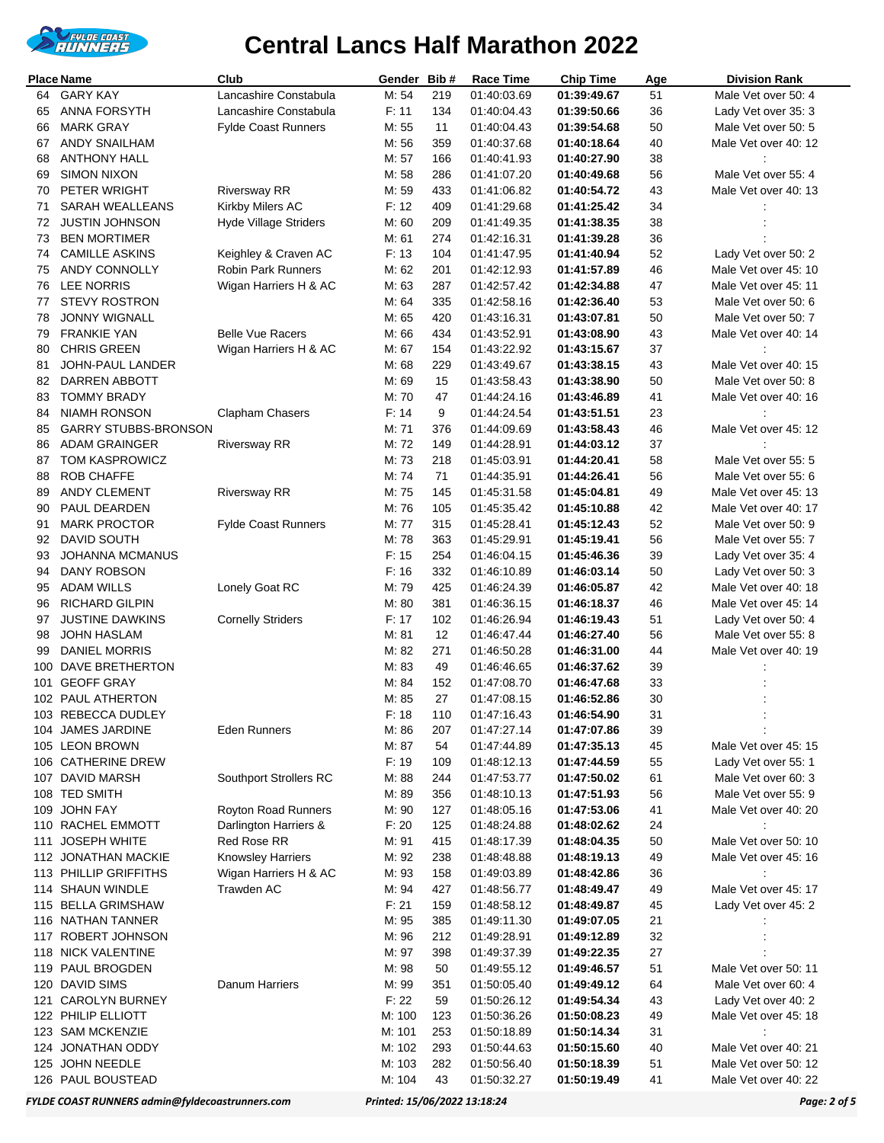

|          | <b>Place Name</b>                          | Club                         | Gender         | Bib#       | Race Time                  | <b>Chip Time</b>           | Age      | <b>Division Rank</b>                        |
|----------|--------------------------------------------|------------------------------|----------------|------------|----------------------------|----------------------------|----------|---------------------------------------------|
| 64       | <b>GARY KAY</b>                            | Lancashire Constabula        | M: 54          | 219        | 01:40:03.69                | 01:39:49.67                | 51       | Male Vet over 50: 4                         |
| 65       | <b>ANNA FORSYTH</b>                        | Lancashire Constabula        | F: 11          | 134        | 01:40:04.43                | 01:39:50.66                | 36       | Lady Vet over 35: 3                         |
| 66       | <b>MARK GRAY</b>                           | <b>Fylde Coast Runners</b>   | M: 55          | 11         | 01:40:04.43                | 01:39:54.68                | 50       | Male Vet over 50: 5                         |
| 67       | <b>ANDY SNAILHAM</b>                       |                              | M: 56          | 359        | 01:40:37.68                | 01:40:18.64                | 40       | Male Vet over 40: 12                        |
| 68       | <b>ANTHONY HALL</b>                        |                              | M: 57          | 166        | 01:40:41.93                | 01:40:27.90                | 38       |                                             |
| 69       | <b>SIMON NIXON</b>                         |                              | M: 58          | 286        | 01:41:07.20                | 01:40:49.68                | 56       | Male Vet over 55: 4                         |
| 70       | PETER WRIGHT                               | <b>Riversway RR</b>          | M: 59          | 433        | 01:41:06.82                | 01:40:54.72                | 43       | Male Vet over 40: 13                        |
| 71       | SARAH WEALLEANS                            | Kirkby Milers AC             | F: 12          | 409        | 01:41:29.68                | 01:41:25.42                | 34       |                                             |
| 72       | <b>JUSTIN JOHNSON</b>                      | <b>Hyde Village Striders</b> | M:60           | 209        | 01:41:49.35                | 01:41:38.35                | 38       |                                             |
| 73       | <b>BEN MORTIMER</b>                        |                              | M: 61          | 274        | 01:42:16.31                | 01:41:39.28                | 36       |                                             |
| 74       | <b>CAMILLE ASKINS</b>                      | Keighley & Craven AC         | F: 13          | 104        | 01:41:47.95                | 01:41:40.94                | 52       | Lady Vet over 50: 2                         |
| 75       | ANDY CONNOLLY                              | <b>Robin Park Runners</b>    | M: 62          | 201        | 01:42:12.93                | 01:41:57.89                | 46       | Male Vet over 45: 10                        |
| 76       | <b>LEE NORRIS</b>                          | Wigan Harriers H & AC        | M: 63          | 287        | 01:42:57.42                | 01:42:34.88                | 47       | Male Vet over 45: 11                        |
| 77       | <b>STEVY ROSTRON</b>                       |                              | M: 64          | 335        | 01:42:58.16                | 01:42:36.40                | 53       | Male Vet over 50: 6                         |
| 78<br>79 | <b>JONNY WIGNALL</b><br><b>FRANKIE YAN</b> | <b>Belle Vue Racers</b>      | M: 65<br>M: 66 | 420<br>434 | 01:43:16.31                | 01:43:07.81                | 50       | Male Vet over 50: 7<br>Male Vet over 40: 14 |
| 80       | <b>CHRIS GREEN</b>                         | Wigan Harriers H & AC        | M: 67          | 154        | 01:43:52.91<br>01:43:22.92 | 01:43:08.90<br>01:43:15.67 | 43<br>37 |                                             |
| 81       | JOHN-PAUL LANDER                           |                              | M: 68          | 229        | 01:43:49.67                | 01:43:38.15                | 43       | Male Vet over 40: 15                        |
| 82       | DARREN ABBOTT                              |                              | M: 69          | 15         | 01:43:58.43                | 01:43:38.90                | 50       | Male Vet over 50: 8                         |
| 83       | <b>TOMMY BRADY</b>                         |                              | M: 70          | 47         | 01:44:24.16                | 01:43:46.89                | 41       | Male Vet over 40: 16                        |
| 84       | <b>NIAMH RONSON</b>                        | Clapham Chasers              | F: 14          | 9          | 01:44:24.54                | 01:43:51.51                | 23       |                                             |
| 85       | <b>GARRY STUBBS-BRONSON</b>                |                              | M: 71          | 376        | 01:44:09.69                | 01:43:58.43                | 46       | Male Vet over 45: 12                        |
| 86       | <b>ADAM GRAINGER</b>                       | <b>Riversway RR</b>          | M: 72          | 149        | 01:44:28.91                | 01:44:03.12                | 37       |                                             |
| 87       | <b>TOM KASPROWICZ</b>                      |                              | M: 73          | 218        | 01:45:03.91                | 01:44:20.41                | 58       | Male Vet over 55: 5                         |
| 88       | <b>ROB CHAFFE</b>                          |                              | M: 74          | 71         | 01:44:35.91                | 01:44:26.41                | 56       | Male Vet over 55: 6                         |
| 89       | ANDY CLEMENT                               | <b>Riversway RR</b>          | M: 75          | 145        | 01:45:31.58                | 01:45:04.81                | 49       | Male Vet over 45: 13                        |
| 90       | PAUL DEARDEN                               |                              | M: 76          | 105        | 01:45:35.42                | 01:45:10.88                | 42       | Male Vet over 40: 17                        |
| 91       | <b>MARK PROCTOR</b>                        | <b>Fylde Coast Runners</b>   | M: 77          | 315        | 01:45:28.41                | 01:45:12.43                | 52       | Male Vet over 50: 9                         |
| 92       | DAVID SOUTH                                |                              | M: 78          | 363        | 01:45:29.91                | 01:45:19.41                | 56       | Male Vet over 55: 7                         |
| 93       | <b>JOHANNA MCMANUS</b>                     |                              | F: 15          | 254        | 01:46:04.15                | 01:45:46.36                | 39       | Lady Vet over 35: 4                         |
| 94       | DANY ROBSON                                |                              | F: 16          | 332        | 01:46:10.89                | 01:46:03.14                | 50       | Lady Vet over 50: 3                         |
| 95       | ADAM WILLS                                 | Lonely Goat RC               | M: 79          | 425        | 01:46:24.39                | 01:46:05.87                | 42       | Male Vet over 40: 18                        |
| 96       | RICHARD GILPIN                             |                              | M: 80          | 381        | 01:46:36.15                | 01:46:18.37                | 46       | Male Vet over 45: 14                        |
| 97       | <b>JUSTINE DAWKINS</b>                     | <b>Cornelly Striders</b>     | F: 17          | 102        | 01:46:26.94                | 01:46:19.43                | 51       | Lady Vet over 50: 4                         |
| 98       | JOHN HASLAM                                |                              | M: 81          | 12         | 01:46:47.44                | 01:46:27.40                | 56       | Male Vet over 55: 8                         |
| 99       | DANIEL MORRIS                              |                              | M: 82          | 271        | 01:46:50.28                | 01:46:31.00                | 44       | Male Vet over 40: 19                        |
| 100      | <b>DAVE BRETHERTON</b>                     |                              | M: 83          | 49         | 01:46:46.65                | 01:46:37.62                | 39       |                                             |
| 101      | <b>GEOFF GRAY</b>                          |                              | M: 84          | 152        | 01:47:08.70                | 01:46:47.68                | 33       |                                             |
|          | 102 PAUL ATHERTON                          |                              | M: 85          | 27         | 01:47:08.15                | 01:46:52.86                | 30       |                                             |
|          | 103 REBECCA DUDLEY                         |                              | F: 18          | 110        | 01:47:16.43                | 01:46:54.90                | 31       |                                             |
|          | 104 JAMES JARDINE                          | Eden Runners                 | M: 86          | 207        | 01:47:27.14                | 01:47:07.86                | 39       |                                             |
|          | 105 LEON BROWN                             |                              | M: 87          | 54         | 01:47:44.89                | 01:47:35.13                | 45       | Male Vet over 45: 15                        |
|          | 106 CATHERINE DREW                         |                              | F: 19          | 109        | 01:48:12.13                | 01:47:44.59                | 55       | Lady Vet over 55: 1                         |
|          | 107 DAVID MARSH<br>108 TED SMITH           | Southport Strollers RC       | M: 88          | 244        | 01:47:53.77                | 01:47:50.02                | 61       | Male Vet over 60: 3                         |
|          |                                            | Royton Road Runners          | M: 89<br>M: 90 | 356<br>127 | 01:48:10.13                | 01:47:51.93<br>01:47:53.06 | 56       | Male Vet over 55: 9                         |
|          | 109 JOHN FAY<br>110 RACHEL EMMOTT          | Darlington Harriers &        | F: 20          | 125        | 01:48:05.16<br>01:48:24.88 | 01:48:02.62                | 41<br>24 | Male Vet over 40: 20                        |
| 111      | <b>JOSEPH WHITE</b>                        | Red Rose RR                  | M: 91          | 415        | 01:48:17.39                | 01:48:04.35                | 50       | Male Vet over 50: 10                        |
|          | 112 JONATHAN MACKIE                        | Knowsley Harriers            | M: 92          | 238        | 01:48:48.88                | 01:48:19.13                | 49       | Male Vet over 45: 16                        |
|          | 113 PHILLIP GRIFFITHS                      | Wigan Harriers H & AC        | M: 93          | 158        | 01:49:03.89                | 01:48:42.86                | 36       |                                             |
|          | 114 SHAUN WINDLE                           | Trawden AC                   | M: 94          | 427        | 01:48:56.77                | 01:48:49.47                | 49       | Male Vet over 45: 17                        |
|          | 115 BELLA GRIMSHAW                         |                              | F: 21          | 159        | 01:48:58.12                | 01:48:49.87                | 45       | Lady Vet over 45: 2                         |
|          | 116 NATHAN TANNER                          |                              | M: 95          | 385        | 01:49:11.30                | 01:49:07.05                | 21       |                                             |
|          | 117 ROBERT JOHNSON                         |                              | M: 96          | 212        | 01:49:28.91                | 01:49:12.89                | 32       |                                             |
|          | 118 NICK VALENTINE                         |                              | M: 97          | 398        | 01:49:37.39                | 01:49:22.35                | 27       |                                             |
|          | 119 PAUL BROGDEN                           |                              | M: 98          | 50         | 01:49:55.12                | 01:49:46.57                | 51       | Male Vet over 50: 11                        |
|          | 120 DAVID SIMS                             | Danum Harriers               | M: 99          | 351        | 01:50:05.40                | 01:49:49.12                | 64       | Male Vet over 60: 4                         |
| 121      | <b>CAROLYN BURNEY</b>                      |                              | F: 22          | 59         | 01:50:26.12                | 01:49:54.34                | 43       | Lady Vet over 40: 2                         |
|          | 122 PHILIP ELLIOTT                         |                              | M: 100         | 123        | 01:50:36.26                | 01:50:08.23                | 49       | Male Vet over 45: 18                        |
|          | 123 SAM MCKENZIE                           |                              | M: 101         | 253        | 01:50:18.89                | 01:50:14.34                | 31       | ÷                                           |
|          | 124 JONATHAN ODDY                          |                              | M: 102         | 293        | 01:50:44.63                | 01:50:15.60                | 40       | Male Vet over 40: 21                        |
|          | 125 JOHN NEEDLE                            |                              | M: 103         | 282        | 01:50:56.40                | 01:50:18.39                | 51       | Male Vet over 50: 12                        |
|          | 126 PAUL BOUSTEAD                          |                              | M: 104         | 43         | 01:50:32.27                | 01:50:19.49                | 41       | Male Vet over 40: 22                        |

*FYLDE COAST RUNNERS admin@fyldecoastrunners.com Printed: 15/06/2022 13:18:24 Page: 2 of 5*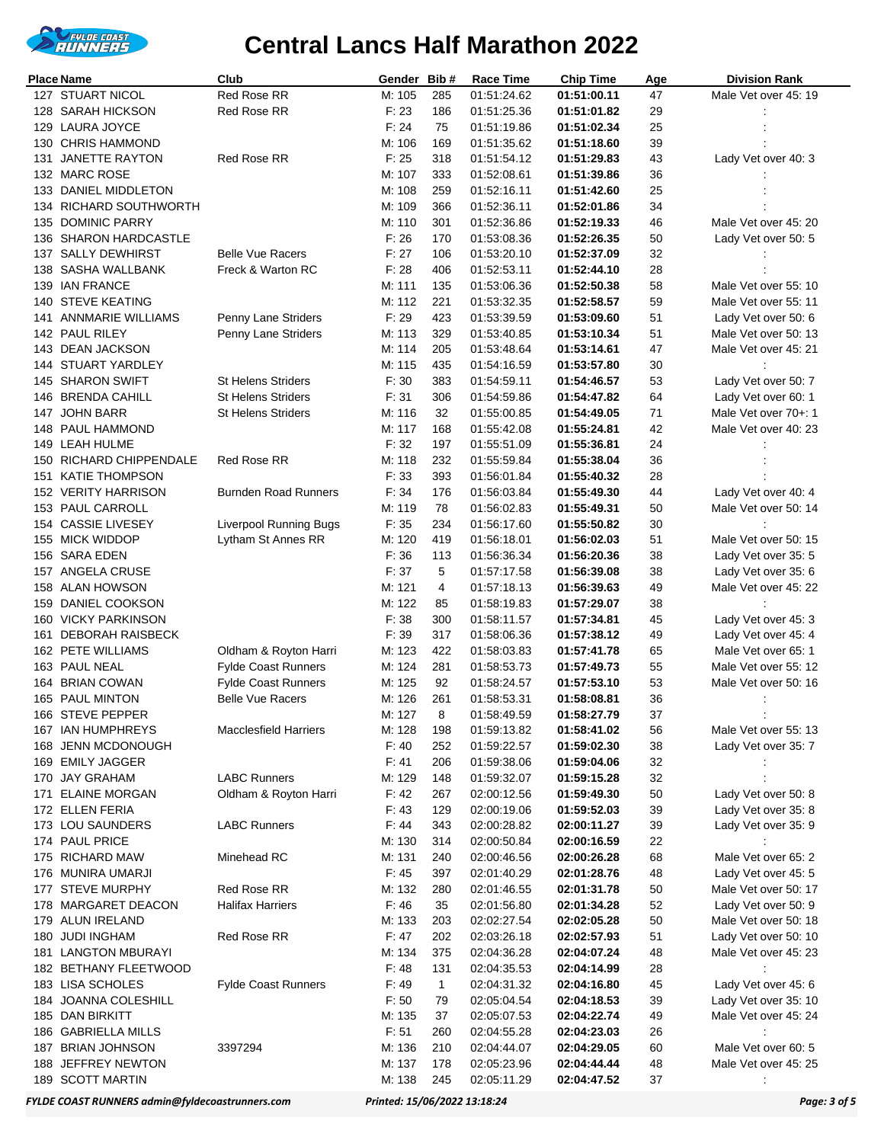

|     | <b>Place Name</b>                    | Club                                                     | Gender Bib#      |              | <b>Race Time</b>           | <b>Chip Time</b>           | Age      | <b>Division Rank</b>                         |
|-----|--------------------------------------|----------------------------------------------------------|------------------|--------------|----------------------------|----------------------------|----------|----------------------------------------------|
|     | 127 STUART NICOL                     | Red Rose RR                                              | M: 105           | 285          | 01:51:24.62                | 01:51:00.11                | 47       | Male Vet over 45: 19                         |
|     | 128 SARAH HICKSON                    | <b>Red Rose RR</b>                                       | F: 23            | 186          | 01:51:25.36                | 01:51:01.82                | 29       |                                              |
|     | 129 LAURA JOYCE                      |                                                          | F: 24            | 75           | 01:51:19.86                | 01:51:02.34                | 25       |                                              |
|     | 130 CHRIS HAMMOND                    |                                                          | M: 106           | 169          | 01:51:35.62                | 01:51:18.60                | 39       |                                              |
| 131 | <b>JANETTE RAYTON</b>                | <b>Red Rose RR</b>                                       | F: 25            | 318          | 01:51:54.12                | 01:51:29.83                | 43       | Lady Vet over 40: 3                          |
|     | 132 MARC ROSE                        |                                                          | M: 107           | 333          | 01:52:08.61                | 01:51:39.86                | 36       |                                              |
|     | 133 DANIEL MIDDLETON                 |                                                          | M: 108           | 259          | 01:52:16.11                | 01:51:42.60                | 25       |                                              |
|     | 134 RICHARD SOUTHWORTH               |                                                          | M: 109           | 366          | 01:52:36.11                | 01:52:01.86                | 34       |                                              |
| 135 | <b>DOMINIC PARRY</b>                 |                                                          | M: 110           | 301          | 01:52:36.86                | 01:52:19.33                | 46       | Male Vet over 45: 20                         |
|     | 136 SHARON HARDCASTLE                |                                                          | F: 26            | 170          | 01:53:08.36                | 01:52:26.35                | 50       | Lady Vet over 50: 5                          |
|     | 137 SALLY DEWHIRST                   | <b>Belle Vue Racers</b><br>Freck & Warton RC             | F: 27            | 106          | 01:53:20.10                | 01:52:37.09                | 32       |                                              |
|     | 138 SASHA WALLBANK<br>139 IAN FRANCE |                                                          | F: 28<br>M: 111  | 406<br>135   | 01:52:53.11<br>01:53:06.36 | 01:52:44.10<br>01:52:50.38 | 28<br>58 | Male Vet over 55: 10                         |
| 140 | <b>STEVE KEATING</b>                 |                                                          | M: 112           | 221          | 01:53:32.35                | 01:52:58.57                | 59       | Male Vet over 55: 11                         |
| 141 | <b>ANNMARIE WILLIAMS</b>             | Penny Lane Striders                                      | F: 29            | 423          | 01:53:39.59                | 01:53:09.60                | 51       | Lady Vet over 50: 6                          |
|     | 142 PAUL RILEY                       | Penny Lane Striders                                      | M: 113           | 329          | 01:53:40.85                | 01:53:10.34                | 51       | Male Vet over 50: 13                         |
|     | 143 DEAN JACKSON                     |                                                          | M: 114           | 205          | 01:53:48.64                | 01:53:14.61                | 47       | Male Vet over 45: 21                         |
|     | 144 STUART YARDLEY                   |                                                          | M: 115           | 435          | 01:54:16.59                | 01:53:57.80                | 30       |                                              |
|     | 145 SHARON SWIFT                     | <b>St Helens Striders</b>                                | F:30             | 383          | 01:54:59.11                | 01:54:46.57                | 53       | Lady Vet over 50: 7                          |
|     | 146 BRENDA CAHILL                    | <b>St Helens Striders</b>                                | F: 31            | 306          | 01:54:59.86                | 01:54:47.82                | 64       | Lady Vet over 60: 1                          |
|     | 147 JOHN BARR                        | <b>St Helens Striders</b>                                | M: 116           | 32           | 01:55:00.85                | 01:54:49.05                | 71       | Male Vet over 70+: 1                         |
|     | 148 PAUL HAMMOND                     |                                                          | M: 117           | 168          | 01:55:42.08                | 01:55:24.81                | 42       | Male Vet over 40: 23                         |
|     | 149 LEAH HULME                       |                                                          | F: 32            | 197          | 01:55:51.09                | 01:55:36.81                | 24       |                                              |
|     | 150 RICHARD CHIPPENDALE              | Red Rose RR                                              | M: 118           | 232          | 01:55:59.84                | 01:55:38.04                | 36       |                                              |
|     | 151 KATIE THOMPSON                   |                                                          | F: 33            | 393          | 01:56:01.84                | 01:55:40.32                | 28       |                                              |
|     | 152 VERITY HARRISON                  | <b>Burnden Road Runners</b>                              | F: 34            | 176          | 01:56:03.84                | 01:55:49.30                | 44       | Lady Vet over 40: 4                          |
|     | 153 PAUL CARROLL                     |                                                          | M: 119           | 78           | 01:56:02.83                | 01:55:49.31                | 50       | Male Vet over 50: 14                         |
|     | 154 CASSIE LIVESEY                   | <b>Liverpool Running Bugs</b>                            | F: 35            | 234          | 01:56:17.60                | 01:55:50.82                | 30       |                                              |
|     | 155 MICK WIDDOP                      | Lytham St Annes RR                                       | M: 120           | 419          | 01:56:18.01                | 01:56:02.03                | 51       | Male Vet over 50: 15                         |
|     | 156 SARA EDEN                        |                                                          | F:36             | 113          | 01:56:36.34                | 01:56:20.36                | 38       | Lady Vet over 35: 5                          |
|     | 157 ANGELA CRUSE                     |                                                          | F: 37            | 5            | 01:57:17.58                | 01:56:39.08                | 38       | Lady Vet over 35: 6                          |
|     | 158 ALAN HOWSON                      |                                                          | M: 121           | 4            | 01:57:18.13                | 01:56:39.63                | 49       | Male Vet over 45: 22                         |
|     | 159 DANIEL COOKSON                   |                                                          | M: 122           | 85           | 01:58:19.83                | 01:57:29.07                | 38       |                                              |
|     | 160 VICKY PARKINSON                  |                                                          | F: 38            | 300          | 01:58:11.57                | 01:57:34.81                | 45       | Lady Vet over 45: 3                          |
| 161 | <b>DEBORAH RAISBECK</b>              |                                                          | F: 39            | 317          | 01:58:06.36                | 01:57:38.12                | 49       | Lady Vet over 45: 4                          |
|     | 162 PETE WILLIAMS                    | Oldham & Royton Harri                                    | M: 123           | 422          | 01:58:03.83                | 01:57:41.78                | 65       | Male Vet over 65: 1                          |
|     | 163 PAUL NEAL<br>164 BRIAN COWAN     | <b>Fylde Coast Runners</b><br><b>Fylde Coast Runners</b> | M: 124<br>M: 125 | 281<br>92    | 01:58:53.73<br>01:58:24.57 | 01:57:49.73<br>01:57:53.10 | 55<br>53 | Male Vet over 55: 12<br>Male Vet over 50: 16 |
|     | 165 PAUL MINTON                      | <b>Belle Vue Racers</b>                                  | M: 126           | 261          | 01:58:53.31                | 01:58:08.81                | 36       |                                              |
|     | 166 STEVE PEPPER                     |                                                          | M: 127           | 8            | 01:58:49.59                | 01:58:27.79                | 37       |                                              |
|     | 167 IAN HUMPHREYS                    | <b>Macclesfield Harriers</b>                             | M: 128           | 198          | 01:59:13.82                | 01:58:41.02                | 56       | Male Vet over 55: 13                         |
| 168 | <b>JENN MCDONOUGH</b>                |                                                          | F: 40            | 252          | 01:59:22.57                | 01:59:02.30                | 38       | Lady Vet over 35: 7                          |
|     | 169 EMILY JAGGER                     |                                                          | F: 41            | 206          | 01:59:38.06                | 01:59:04.06                | 32       |                                              |
|     | 170 JAY GRAHAM                       | <b>LABC Runners</b>                                      | M: 129           | 148          | 01:59:32.07                | 01:59:15.28                | 32       |                                              |
| 171 | <b>ELAINE MORGAN</b>                 | Oldham & Royton Harri                                    | F: 42            | 267          | 02:00:12.56                | 01:59:49.30                | 50       | Lady Vet over 50: 8                          |
|     | 172 ELLEN FERIA                      |                                                          | F: 43            | 129          | 02:00:19.06                | 01:59:52.03                | 39       | Lady Vet over 35: 8                          |
|     | 173 LOU SAUNDERS                     | <b>LABC Runners</b>                                      | F: 44            | 343          | 02:00:28.82                | 02:00:11.27                | 39       | Lady Vet over 35: 9                          |
|     | 174 PAUL PRICE                       |                                                          | M: 130           | 314          | 02:00:50.84                | 02:00:16.59                | 22       |                                              |
|     | 175 RICHARD MAW                      | Minehead RC                                              | M: 131           | 240          | 02:00:46.56                | 02:00:26.28                | 68       | Male Vet over 65: 2                          |
|     | 176 MUNIRA UMARJI                    |                                                          | F: 45            | 397          | 02:01:40.29                | 02:01:28.76                | 48       | Lady Vet over 45: 5                          |
| 177 | <b>STEVE MURPHY</b>                  | Red Rose RR                                              | M: 132           | 280          | 02:01:46.55                | 02:01:31.78                | 50       | Male Vet over 50: 17                         |
|     | 178 MARGARET DEACON                  | Halifax Harriers                                         | F: 46            | 35           | 02:01:56.80                | 02:01:34.28                | 52       | Lady Vet over 50: 9                          |
|     | 179 ALUN IRELAND                     |                                                          | M: 133           | 203          | 02:02:27.54                | 02:02:05.28                | 50       | Male Vet over 50: 18                         |
| 180 | <b>JUDI INGHAM</b>                   | Red Rose RR                                              | F: 47            | 202          | 02:03:26.18                | 02:02:57.93                | 51       | Lady Vet over 50: 10                         |
|     | 181 LANGTON MBURAYI                  |                                                          | M: 134           | 375          | 02:04:36.28                | 02:04:07.24                | 48       | Male Vet over 45: 23                         |
|     | 182 BETHANY FLEETWOOD                |                                                          | F: 48            | 131          | 02:04:35.53                | 02:04:14.99                | 28       |                                              |
|     | 183 LISA SCHOLES                     | <b>Fylde Coast Runners</b>                               | F: 49            | $\mathbf{1}$ | 02:04:31.32                | 02:04:16.80                | 45       | Lady Vet over 45: 6                          |
| 184 | <b>JOANNA COLESHILL</b>              |                                                          | F: 50            | 79           | 02:05:04.54                | 02:04:18.53                | 39       | Lady Vet over 35: 10                         |
|     | 185 DAN BIRKITT                      |                                                          | M: 135           | 37           | 02:05:07.53                | 02:04:22.74                | 49       | Male Vet over 45: 24                         |
|     | 186 GABRIELLA MILLS                  |                                                          | F: 51            | 260          | 02:04:55.28                | 02:04:23.03                | 26       |                                              |
|     | 187 BRIAN JOHNSON                    | 3397294                                                  | M: 136           | 210          | 02:04:44.07                | 02:04:29.05                | 60       | Male Vet over 60: 5                          |
| 188 | JEFFREY NEWTON<br>189 SCOTT MARTIN   |                                                          | M: 137<br>M: 138 | 178<br>245   | 02:05:23.96<br>02:05:11.29 | 02:04:44.44<br>02:04:47.52 | 48<br>37 | Male Vet over 45: 25                         |
|     |                                      |                                                          |                  |              |                            |                            |          |                                              |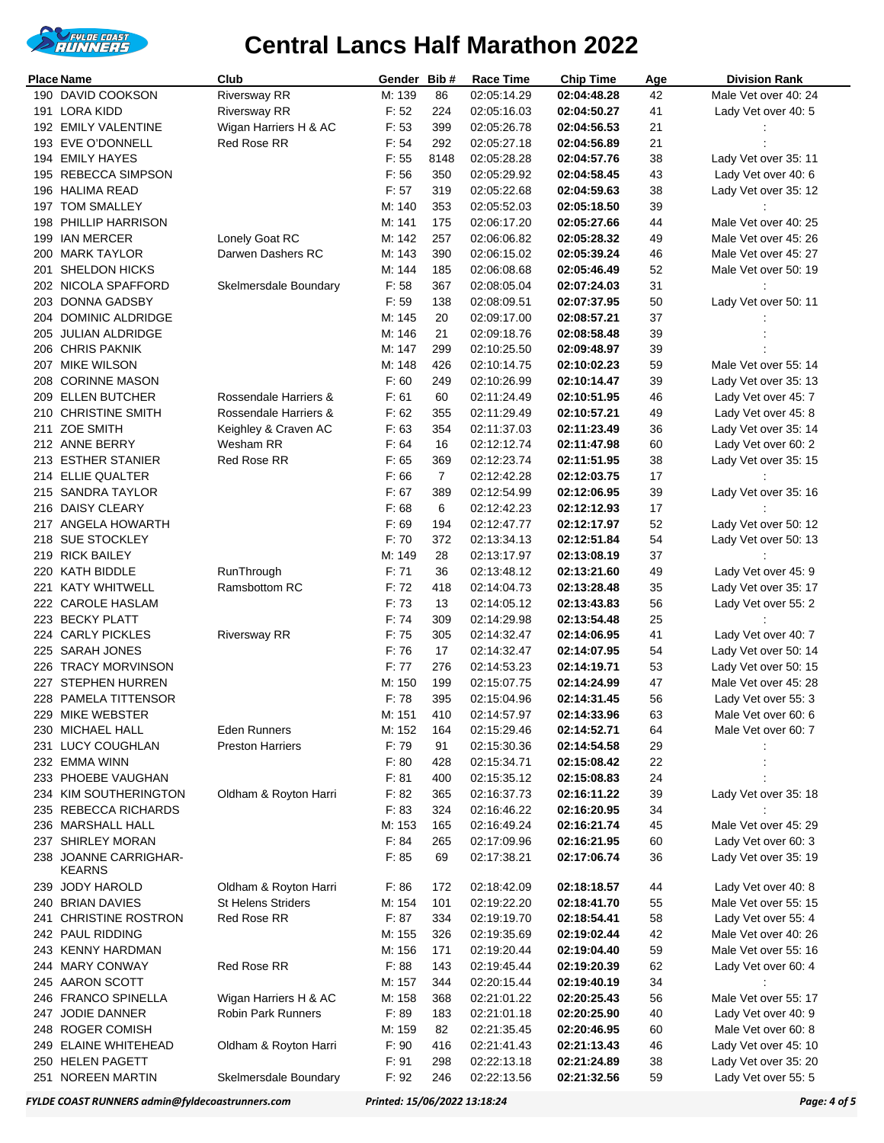

|     | Place Name                             | Club                      | Gender | Bib#           | <b>Race Time</b> | <b>Chip Time</b> | Age | <b>Division Rank</b> |
|-----|----------------------------------------|---------------------------|--------|----------------|------------------|------------------|-----|----------------------|
|     | 190 DAVID COOKSON                      | <b>Riversway RR</b>       | M: 139 | 86             | 02:05:14.29      | 02:04:48.28      | 42  | Male Vet over 40: 24 |
| 191 | LORA KIDD                              | <b>Riversway RR</b>       | F: 52  | 224            | 02:05:16.03      | 02:04:50.27      | 41  | Lady Vet over 40: 5  |
|     | 192 EMILY VALENTINE                    | Wigan Harriers H & AC     | F: 53  | 399            | 02:05:26.78      | 02:04:56.53      | 21  |                      |
|     | 193 EVE O'DONNELL                      | Red Rose RR               | F: 54  | 292            | 02:05:27.18      | 02:04:56.89      | 21  |                      |
|     | 194 EMILY HAYES                        |                           | F: 55  | 8148           | 02:05:28.28      | 02:04:57.76      | 38  | Lady Vet over 35: 11 |
|     | 195 REBECCA SIMPSON                    |                           |        |                |                  |                  |     |                      |
|     |                                        |                           | F: 56  | 350            | 02:05:29.92      | 02:04:58.45      | 43  | Lady Vet over 40: 6  |
|     | 196 HALIMA READ                        |                           | F: 57  | 319            | 02:05:22.68      | 02:04:59.63      | 38  | Lady Vet over 35: 12 |
|     | 197 TOM SMALLEY                        |                           | M: 140 | 353            | 02:05:52.03      | 02:05:18.50      | 39  |                      |
| 198 | <b>PHILLIP HARRISON</b>                |                           | M: 141 | 175            | 02:06:17.20      | 02:05:27.66      | 44  | Male Vet over 40: 25 |
|     | 199 IAN MERCER                         | Lonely Goat RC            | M: 142 | 257            | 02:06:06.82      | 02:05:28.32      | 49  | Male Vet over 45: 26 |
| 200 | <b>MARK TAYLOR</b>                     | Darwen Dashers RC         | M: 143 | 390            | 02:06:15.02      | 02:05:39.24      | 46  | Male Vet over 45: 27 |
| 201 | <b>SHELDON HICKS</b>                   |                           | M: 144 | 185            | 02:06:08.68      | 02:05:46.49      | 52  | Male Vet over 50: 19 |
|     | 202 NICOLA SPAFFORD                    | Skelmersdale Boundary     | F: 58  | 367            | 02:08:05.04      | 02:07:24.03      | 31  |                      |
| 203 | DONNA GADSBY                           |                           | F: 59  | 138            | 02:08:09.51      | 02:07:37.95      | 50  | Lady Vet over 50: 11 |
|     | <b>DOMINIC ALDRIDGE</b>                |                           | M: 145 | 20             |                  |                  | 37  |                      |
| 204 |                                        |                           |        |                | 02:09:17.00      | 02:08:57.21      |     |                      |
| 205 | JULIAN ALDRIDGE                        |                           | M: 146 | 21             | 02:09:18.76      | 02:08:58.48      | 39  |                      |
|     | 206 CHRIS PAKNIK                       |                           | M: 147 | 299            | 02:10:25.50      | 02:09:48.97      | 39  |                      |
|     | 207 MIKE WILSON                        |                           | M: 148 | 426            | 02:10:14.75      | 02:10:02.23      | 59  | Male Vet over 55: 14 |
|     | 208 CORINNE MASON                      |                           | F:60   | 249            | 02:10:26.99      | 02:10:14.47      | 39  | Lady Vet over 35: 13 |
|     | 209 ELLEN BUTCHER                      | Rossendale Harriers &     | F: 61  | 60             | 02:11:24.49      | 02:10:51.95      | 46  | Lady Vet over 45: 7  |
|     | 210 CHRISTINE SMITH                    | Rossendale Harriers &     | F: 62  | 355            | 02:11:29.49      | 02:10:57.21      | 49  | Lady Vet over 45: 8  |
| 211 | ZOE SMITH                              | Keighley & Craven AC      | F: 63  | 354            | 02:11:37.03      | 02:11:23.49      | 36  | Lady Vet over 35: 14 |
|     | 212 ANNE BERRY                         | Wesham RR                 | F: 64  | 16             | 02:12:12.74      | 02:11:47.98      | 60  | Lady Vet over 60: 2  |
|     | 213 ESTHER STANIER                     | Red Rose RR               | F: 65  | 369            | 02:12:23.74      | 02:11:51.95      | 38  | Lady Vet over 35: 15 |
|     |                                        |                           |        |                |                  |                  |     |                      |
|     | 214 ELLIE QUALTER                      |                           | F:66   | $\overline{7}$ | 02:12:42.28      | 02:12:03.75      | 17  |                      |
|     | 215 SANDRA TAYLOR                      |                           | F: 67  | 389            | 02:12:54.99      | 02:12:06.95      | 39  | Lady Vet over 35: 16 |
|     | 216 DAISY CLEARY                       |                           | F: 68  | 6              | 02:12:42.23      | 02:12:12.93      | 17  |                      |
| 217 | ANGELA HOWARTH                         |                           | F: 69  | 194            | 02:12:47.77      | 02:12:17.97      | 52  | Lady Vet over 50: 12 |
|     | 218 SUE STOCKLEY                       |                           | F: 70  | 372            | 02:13:34.13      | 02:12:51.84      | 54  | Lady Vet over 50: 13 |
|     | 219 RICK BAILEY                        |                           | M: 149 | 28             | 02:13:17.97      | 02:13:08.19      | 37  |                      |
|     | 220 KATH BIDDLE                        | RunThrough                | F: 71  | 36             | 02:13:48.12      | 02:13:21.60      | 49  | Lady Vet over 45: 9  |
|     | 221 KATY WHITWELL                      | <b>Ramsbottom RC</b>      | F: 72  | 418            | 02:14:04.73      | 02:13:28.48      | 35  | Lady Vet over 35: 17 |
|     | 222 CAROLE HASLAM                      |                           | F: 73  | 13             | 02:14:05.12      | 02:13:43.83      | 56  | Lady Vet over 55: 2  |
|     | 223 BECKY PLATT                        |                           | F: 74  | 309            | 02:14:29.98      | 02:13:54.48      | 25  |                      |
|     |                                        |                           |        |                |                  |                  |     |                      |
|     | 224 CARLY PICKLES                      | <b>Riversway RR</b>       | F: 75  | 305            | 02:14:32.47      | 02:14:06.95      | 41  | Lady Vet over 40: 7  |
|     | 225 SARAH JONES                        |                           | F: 76  | 17             | 02:14:32.47      | 02:14:07.95      | 54  | Lady Vet over 50: 14 |
|     | 226 TRACY MORVINSON                    |                           | F: 77  | 276            | 02:14:53.23      | 02:14:19.71      | 53  | Lady Vet over 50: 15 |
|     | 227 STEPHEN HURREN                     |                           | M: 150 | 199            | 02:15:07.75      | 02:14:24.99      | 47  | Male Vet over 45: 28 |
|     | 228 PAMELA TITTENSOR                   |                           | F: 78  | 395            | 02:15:04.96      | 02:14:31.45      | 56  | Lady Vet over 55: 3  |
|     | 229 MIKE WEBSTER                       |                           | M: 151 | 410            | 02:14:57.97      | 02:14:33.96      | 63  | Male Vet over 60: 6  |
|     | 230 MICHAEL HALL                       | Eden Runners              | M: 152 | 164            | 02:15:29.46      | 02:14:52.71      | 64  | Male Vet over 60: 7  |
|     | 231 LUCY COUGHLAN                      | <b>Preston Harriers</b>   | F: 79  | 91             | 02:15:30.36      | 02:14:54.58      | 29  |                      |
|     | 232 EMMA WINN                          |                           | F: 80  | 428            | 02:15:34.71      | 02:15:08.42      | 22  |                      |
|     | 233 PHOEBE VAUGHAN                     |                           | F: 81  | 400            | 02:15:35.12      |                  | 24  |                      |
|     |                                        |                           |        |                |                  | 02:15:08.83      |     |                      |
|     | 234 KIM SOUTHERINGTON                  | Oldham & Royton Harri     | F: 82  | 365            | 02:16:37.73      | 02:16:11.22      | 39  | Lady Vet over 35: 18 |
|     | 235 REBECCA RICHARDS                   |                           | F: 83  | 324            | 02:16:46.22      | 02:16:20.95      | 34  |                      |
|     | 236 MARSHALL HALL                      |                           | M: 153 | 165            | 02:16:49.24      | 02:16:21.74      | 45  | Male Vet over 45: 29 |
|     | 237 SHIRLEY MORAN                      |                           | F: 84  | 265            | 02:17:09.96      | 02:16:21.95      | 60  | Lady Vet over 60: 3  |
|     | 238 JOANNE CARRIGHAR-<br><b>KEARNS</b> |                           | F: 85  | 69             | 02:17:38.21      | 02:17:06.74      | 36  | Lady Vet over 35: 19 |
| 239 | <b>JODY HAROLD</b>                     | Oldham & Royton Harri     | F: 86  | 172            | 02:18:42.09      | 02:18:18.57      | 44  | Lady Vet over 40: 8  |
|     | 240 BRIAN DAVIES                       | <b>St Helens Striders</b> | M: 154 | 101            | 02:19:22.20      | 02:18:41.70      | 55  | Male Vet over 55: 15 |
|     |                                        |                           |        |                |                  |                  |     |                      |
|     | 241 CHRISTINE ROSTRON                  | Red Rose RR               | F: 87  | 334            | 02:19:19.70      | 02:18:54.41      | 58  | Lady Vet over 55: 4  |
|     | 242 PAUL RIDDING                       |                           | M: 155 | 326            | 02:19:35.69      | 02:19:02.44      | 42  | Male Vet over 40: 26 |
|     | 243 KENNY HARDMAN                      |                           | M: 156 | 171            | 02:19:20.44      | 02:19:04.40      | 59  | Male Vet over 55: 16 |
|     | 244 MARY CONWAY                        | Red Rose RR               | F: 88  | 143            | 02:19:45.44      | 02:19:20.39      | 62  | Lady Vet over 60: 4  |
|     | 245 AARON SCOTT                        |                           | M: 157 | 344            | 02:20:15.44      | 02:19:40.19      | 34  |                      |
|     | 246 FRANCO SPINELLA                    | Wigan Harriers H & AC     | M: 158 | 368            | 02:21:01.22      | 02:20:25.43      | 56  | Male Vet over 55: 17 |
|     | 247 JODIE DANNER                       | Robin Park Runners        | F: 89  | 183            | 02:21:01.18      | 02:20:25.90      | 40  | Lady Vet over 40: 9  |
|     | 248 ROGER COMISH                       |                           | M: 159 | 82             | 02:21:35.45      | 02:20:46.95      | 60  | Male Vet over 60: 8  |
|     | 249 ELAINE WHITEHEAD                   | Oldham & Royton Harri     | F: 90  | 416            | 02:21:41.43      | 02:21:13.43      | 46  | Lady Vet over 45: 10 |
|     |                                        |                           |        |                |                  |                  |     |                      |
|     | 250 HELEN PAGETT                       |                           | F: 91  | 298            | 02:22:13.18      | 02:21:24.89      | 38  | Lady Vet over 35: 20 |
| 251 | NOREEN MARTIN                          | Skelmersdale Boundary     | F: 92  | 246            | 02:22:13.56      | 02:21:32.56      | 59  | Lady Vet over 55: 5  |

*FYLDE COAST RUNNERS admin@fyldecoastrunners.com Printed: 15/06/2022 13:18:24 Page: 4 of 5*